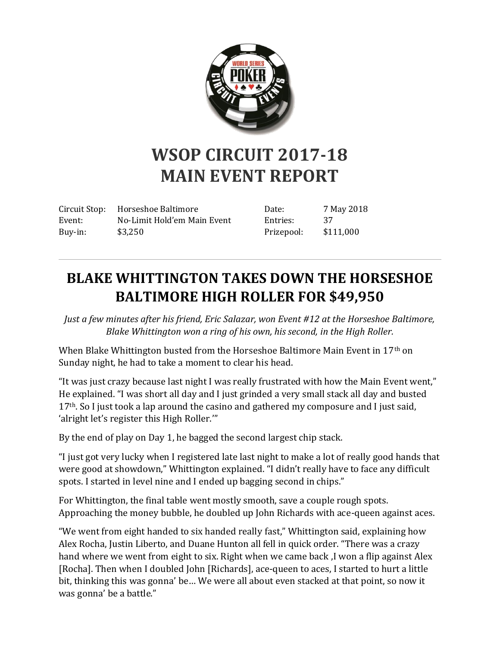

## **WSOP CIRCUIT 2017-18 MAIN EVENT REPORT**

Circuit Stop: Horseshoe Baltimore Event: No-Limit Hold'em Main Event Buy-in: \$3,250

Date: 7 May 2018 Entries: 37 Prizepool: \$111,000

## **BLAKE WHITTINGTON TAKES DOWN THE HORSESHOE BALTIMORE HIGH ROLLER FOR \$49,950**

*Just a few minutes after his friend, Eric Salazar, won Event #12 at the Horseshoe Baltimore, Blake Whittington won a ring of his own, his second, in the High Roller.*

When Blake Whittington busted from the Horseshoe Baltimore Main Event in 17<sup>th</sup> on Sunday night, he had to take a moment to clear his head.

"It was just crazy because last night I was really frustrated with how the Main Event went," He explained. "I was short all day and I just grinded a very small stack all day and busted  $17<sup>th</sup>$ . So I just took a lap around the casino and gathered my composure and I just said, 'alright let's register this High Roller.'"

By the end of play on Day 1, he bagged the second largest chip stack.

"I just got very lucky when I registered late last night to make a lot of really good hands that were good at showdown," Whittington explained. "I didn't really have to face any difficult spots. I started in level nine and I ended up bagging second in chips."

For Whittington, the final table went mostly smooth, save a couple rough spots. Approaching the money bubble, he doubled up John Richards with ace-queen against aces.

"We went from eight handed to six handed really fast," Whittington said, explaining how Alex Rocha, Justin Liberto, and Duane Hunton all fell in quick order. "There was a crazy hand where we went from eight to six. Right when we came back ,I won a flip against Alex [Rocha]. Then when I doubled John [Richards], ace-queen to aces, I started to hurt a little bit, thinking this was gonna' be… We were all about even stacked at that point, so now it was gonna' be a battle."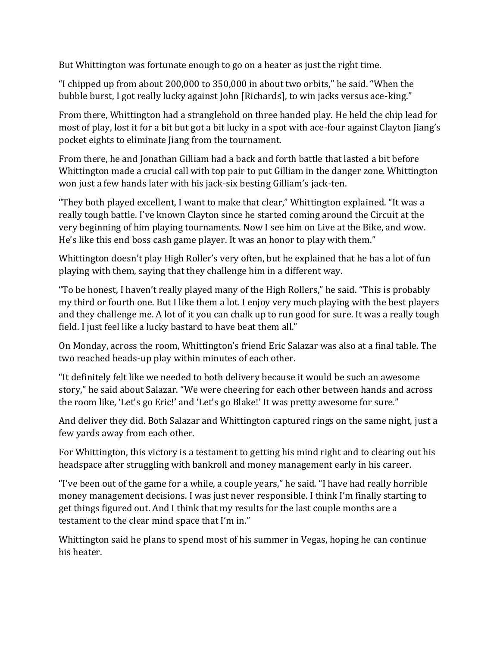But Whittington was fortunate enough to go on a heater as just the right time.

"I chipped up from about 200,000 to 350,000 in about two orbits," he said. "When the bubble burst, I got really lucky against John [Richards], to win jacks versus ace-king."

From there, Whittington had a stranglehold on three handed play. He held the chip lead for most of play, lost it for a bit but got a bit lucky in a spot with ace-four against Clayton Jiang's pocket eights to eliminate Jiang from the tournament.

From there, he and Jonathan Gilliam had a back and forth battle that lasted a bit before Whittington made a crucial call with top pair to put Gilliam in the danger zone. Whittington won just a few hands later with his jack-six besting Gilliam's jack-ten.

"They both played excellent, I want to make that clear," Whittington explained. "It was a really tough battle. I've known Clayton since he started coming around the Circuit at the very beginning of him playing tournaments. Now I see him on Live at the Bike, and wow. He's like this end boss cash game player. It was an honor to play with them."

Whittington doesn't play High Roller's very often, but he explained that he has a lot of fun playing with them, saying that they challenge him in a different way.

"To be honest, I haven't really played many of the High Rollers," he said. "This is probably my third or fourth one. But I like them a lot. I enjoy very much playing with the best players and they challenge me. A lot of it you can chalk up to run good for sure. It was a really tough field. I just feel like a lucky bastard to have beat them all."

On Monday, across the room, Whittington's friend Eric Salazar was also at a final table. The two reached heads-up play within minutes of each other.

"It definitely felt like we needed to both delivery because it would be such an awesome story," he said about Salazar. "We were cheering for each other between hands and across the room like, 'Let's go Eric!' and 'Let's go Blake!' It was pretty awesome for sure."

And deliver they did. Both Salazar and Whittington captured rings on the same night, just a few yards away from each other.

For Whittington, this victory is a testament to getting his mind right and to clearing out his headspace after struggling with bankroll and money management early in his career.

"I've been out of the game for a while, a couple years," he said. "I have had really horrible money management decisions. I was just never responsible. I think I'm finally starting to get things figured out. And I think that my results for the last couple months are a testament to the clear mind space that I'm in."

Whittington said he plans to spend most of his summer in Vegas, hoping he can continue his heater.